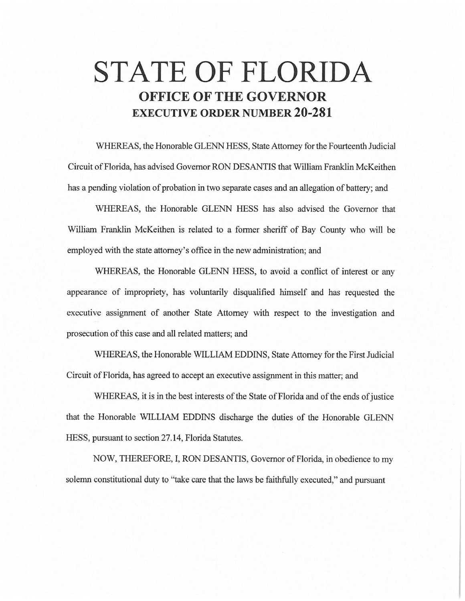# **STATE OF FLORIDA OFFICE OF THE GOVERNOR EXECUTIVE ORDER NUMBER 20-281**

WHEREAS, the Honorable GLENN HESS, State Attorney for the Fourteenth Judicial Circuit of Florida, has advised Governor RON DESANTIS that William Franklin McKeithen has a pending violation of probation in two separate cases and an allegation of battery; and

WHEREAS, the Honorable GLENN HESS has also advised the Governor that William Franklin McKeithen is related to a former sheriff of Bay County who will be employed with the state attorney's office in the new administration; and

WHEREAS, the Honorable GLENN HESS, to avoid a conflict of interest or any appearance of impropriety, has voluntarily disqualified himself and has requested the executive assignment of another State Attorney with respect to the investigation and prosecution of this case and all related matters; and

WHEREAS, the Honorable WILLIAM EDDINS, State Attorney for the First Judicial Circuit of Florida, has agreed to accept an executive assignment in this matter; and

WHEREAS, it is in the best interests of the State of Florida and of the ends of justice that the Honorable WILLIAM EDDINS discharge the duties of the Honorable GLENN HESS, pursuant to section 27.14, Florida Statutes.

NOW, THEREFORE, I, RON DESANTIS, Governor of Florida, in obedience to my solemn constitutional duty to ''take care that the laws be faithfully executed," and pursuant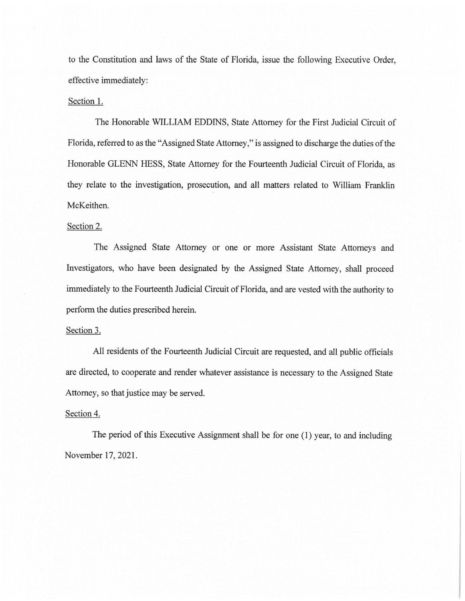to the Constitution and laws of the State of Florida, issue the following Executive Order, effective immediately:

### Section 1.

The Honorable WILLIAM EDDINS, State Attorney for the First Judicial Circuit of Florida, referred to as the "Assigned State Attorney," is assigned to discharge the duties of the Honorable GLENN HESS, State Attorney for the Fourteenth Judicial Circuit of Florida, as they relate to the investigation, prosecution, and all matters related to William Franklin McKeithen.

#### Section 2.

The Assigned State Attorney or one or more Assistant State Attorneys and Investigators, who have been designated by the Assigned State Attorney, shall proceed immediately to the Fourteenth Judicial Circuit of Florida, and are vested with the authority to perform the duties prescribed herein.

#### Section 3.

All residents of the Fourteenth Judicial Circuit are requested, and all public officials are directed, to cooperate and render whatever assistance is necessary to the Assigned State Attorney, so that justice may be served.

## Section 4.

The period of this Executive Assignment shall be for one (1) year, to and including November 17, 2021.